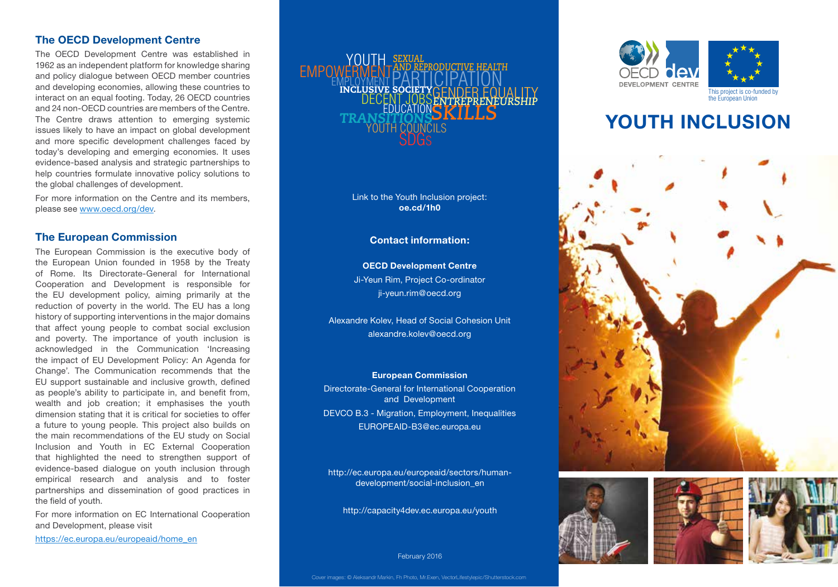# **The OECD Development Centre**

The OECD Development Centre was established in 1962 as an independent platform for knowledge sharing and policy dialogue between OECD member countries and developing economies, allowing these countries to interact on an equal footing. Today, 26 OECD countries and 24 non-OECD countries are members of the Centre. The Centre draws attention to emerging systemic issues likely to have an impact on global development and more specific development challenges faced by today's developing and emerging economies. It uses evidence-based analysis and strategic partnerships to help countries formulate innovative policy solutions to the global challenges of development.

For more information on the Centre and its members, please see www.oecd.org/dev.

# **The European Commission**

The European Commission is the executive body of the European Union founded in 1958 by the Treaty of Rome. Its Directorate-General for International Cooperation and Development is responsible for the EU development policy, aiming primarily at the reduction of poverty in the world. The EU has a long history of supporting interventions in the major domains that affect young people to combat social exclusion and poverty. The importance of youth inclusion is acknowledged in the Communication 'Increasing the impact of EU Development Policy: An Agenda for Change'. The Communication recommends that the EU support sustainable and inclusive growth, defined as people's ability to participate in, and benefit from, wealth and job creation; it emphasises the youth dimension stating that it is critical for societies to offer a future to young people. This project also builds on the main recommendations of the EU study on Social Inclusion and Youth in EC External Cooperation that highlighted the need to strengthen support of evidence-based dialogue on youth inclusion through empirical research and analysis and to foster partnerships and dissemination of good practices in the field of youth.

For more information on EC International Cooperation and Development, please visit

https://ec.europa.eu/europeaid/home\_en

#### *SKILLS* **FMPO** *SEXUAL AND REPRODUCTIVE HEALTH* EMPLOYMENT DECENT JOBS SDGS YOUTH COUNCILS INCLUSIVE SOCIETY CENDER EQUALITY *ENTREPRENEURSHIP TRANSITIONS* PARTICIPATION EDUCATION

Link to the Youth Inclusion project: **oe.cd/1h0**

## **Contact information:**

**OECD Development Centre** Ji-Yeun Rim, Project Co-ordinator ji-yeun.rim@oecd.org

Alexandre Kolev, Head of Social Cohesion Unit alexandre.kolev@oecd.org

### **European Commission**

Directorate-General for International Cooperation and Development DEVCO B.3 - Migration, Employment, Inequalities EUROPEAID-B3@ec.europa.eu

http://ec.europa.eu/europeaid/sectors/humandevelopment/social-inclusion\_en

http://capacity4dev.ec.europa.eu/youth

### February 2016



# **YOUTH INCLUSION**